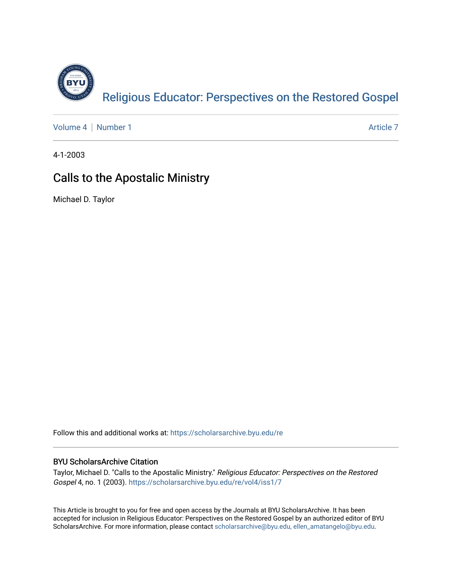

[Volume 4](https://scholarsarchive.byu.edu/re/vol4) | [Number 1](https://scholarsarchive.byu.edu/re/vol4/iss1) Article 7

4-1-2003

### Calls to the Apostalic Ministry

Michael D. Taylor

Follow this and additional works at: [https://scholarsarchive.byu.edu/re](https://scholarsarchive.byu.edu/re?utm_source=scholarsarchive.byu.edu%2Fre%2Fvol4%2Fiss1%2F7&utm_medium=PDF&utm_campaign=PDFCoverPages)

#### BYU ScholarsArchive Citation

Taylor, Michael D. "Calls to the Apostalic Ministry." Religious Educator: Perspectives on the Restored Gospel 4, no. 1 (2003). [https://scholarsarchive.byu.edu/re/vol4/iss1/7](https://scholarsarchive.byu.edu/re/vol4/iss1/7?utm_source=scholarsarchive.byu.edu%2Fre%2Fvol4%2Fiss1%2F7&utm_medium=PDF&utm_campaign=PDFCoverPages) 

This Article is brought to you for free and open access by the Journals at BYU ScholarsArchive. It has been accepted for inclusion in Religious Educator: Perspectives on the Restored Gospel by an authorized editor of BYU ScholarsArchive. For more information, please contact [scholarsarchive@byu.edu, ellen\\_amatangelo@byu.edu.](mailto:scholarsarchive@byu.edu,%20ellen_amatangelo@byu.edu)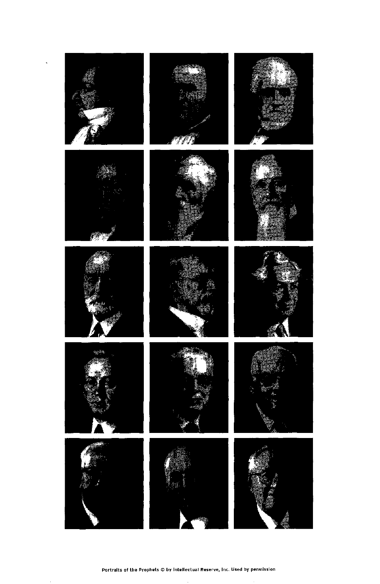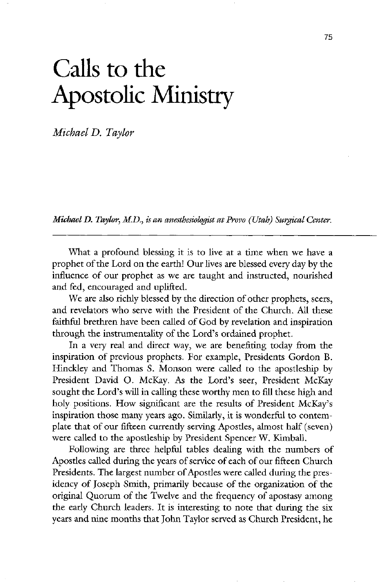# Calls to the Apostolic Ministry

Michael D. Taylor

Michael D. Taylor, M.D., is an anesthesiologist at Provo (Utah) Surgical Center.

We are also richly blessed by the direction of other prophets, seers, and revelators who serve with the President of the Church. All these faithful brethren have been called of God by revelation and inspiration through the instrumentality of the Lord's ordained prophet.

In a very real and direct way, we are benefiting today from the inspiration of previous prophets. For example, Presidents Gordon B. Hinckley and Thomas S. Monson were called to the apostleship by President David O. McKay. As the Lord's seer, President McKay sought the Lord's will in calling these worthy men to fill these high and holy positions. How significant are the results of President McKay's inspiration those many years ago. Similarly, it is wonderful to contemplate that of our fifteen currently serving Apostles, almost half (seven) were called to the apostleship by President Spencer W. Kimball.

what a profound blessing it is to live at a time when we have a prophet of the Lord on the earth! Our lives are blessed every day by the influence of our prophet as we are taught and instructed, nourished and fed, encouraged and uplifted.

following are three helpful tables dealing with the numbers of Apostles called during the years of service of each of our fifteen Church Presidents. The largest number of Apostles were called during the presidency of Joseph Smith, primarily because of the organization of the original Quorum of the Twelve and the frequency of apostasy among the early Church leaders. It is interesting to note that during the six years and nine months that John Taylor served as Church President, he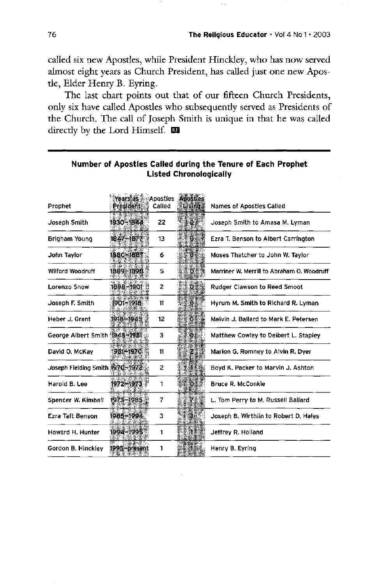called six new Apostles, while President Hinckley, who has now served almost eight years as Church President, has called just one new Apostle, Elder Henry B. Eyring.

The last chart points out that of our fifteen Church Presidents, only six have called Apostles who subsequently served as Presidents of the Church. The call of Joseph Smith is unique in that he was called directly by the Lord Himself.  $\blacksquare$ 

### Number of Apostles Called during the Tenure of Each Prophet listed chronologically

| Prophet                         | Years as Apostles<br>President | Called | Apostles<br><b>Living</b> | <b>Names of Apostles Called</b>            |
|---------------------------------|--------------------------------|--------|---------------------------|--------------------------------------------|
| Joseph Smith                    | 1830-1844                      | 22     | ≂Ø≽                       | Joseph Smith to Amasa M. Lyman             |
| Brigham Young                   | 1847-1877                      | 13     | ୍ଷି                       | Ezra T. Benson to Albert Carrington        |
| John Taylor                     | 1880~1887                      | 6      |                           | Moses Thatcher to John W. Taylor           |
| <b>Wilford Woodruff</b>         | 1889-1898                      | 5      | D.                        | Marriner W. Merrill to Abraham O. Woodruff |
| Lorenzo Snow                    | 1898-1901                      | 2      |                           | <b>Rudger Clawson to Reed Smoot</b>        |
| Joseph F. Smith                 | 1901-1918                      | 11     |                           | Hyrum M. Smith to Richard R. Lyman         |
| Heber J. Grant                  | 1918-1945                      | 12     |                           | Melvin J. Ballard to Mark E. Petersen      |
| George Albert Smith 1945 3951。  |                                | 3      | 201.                      | Matthew Cowiey to Delbert L. Stapley       |
| David O. McKay                  | 1951-1970                      | 11     |                           | Marion G. Romney to Alvin R. Dyer          |
| Joseph Fielding Smith 1970-1972 |                                | 2      |                           | Boyd K. Packer to Marvin J. Ashton         |
| Harold B. Lee                   | 1972–1973                      |        |                           | <b>Bruce R. McConkie</b>                   |
| Spencer W. Kimball              | 1973-1985                      |        |                           | L. Tom Perry to M. Russell Ballard         |
| Ezra Taft Benson                | 1985–1994                      | 3      |                           | Joseph B. Wirthlin to Robert D. Hales      |
| Howard H. Hunter                | 1994–1995                      |        |                           | Jeffrey R. Holland                         |
| Gordon B. Hinckley              | 1995-present                   |        |                           | Henry B. Eyring                            |

and the control